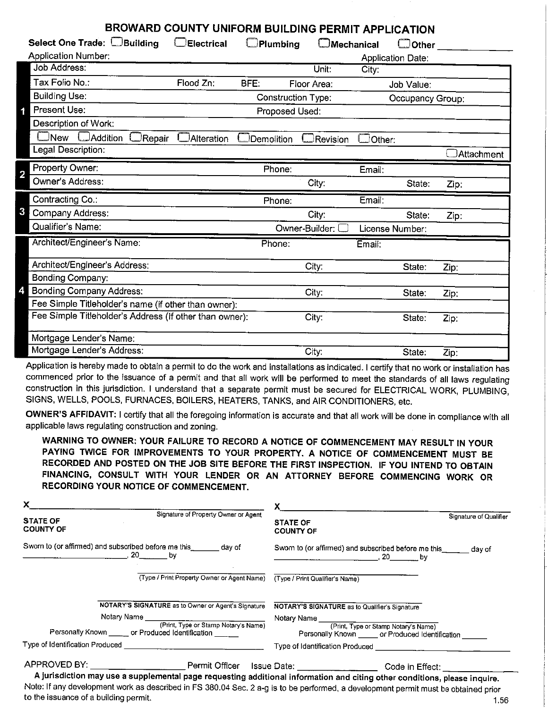| BROWARD COUNTY UNIFORM BUILDING PERMIT APPLICATION      |                     |                    |                   |               |                          |            |
|---------------------------------------------------------|---------------------|--------------------|-------------------|---------------|--------------------------|------------|
| Select One Trade: Building                              | <b>C</b> Electrical | Plumbing           | $\Box$ Mechanical |               | Other                    |            |
| <b>Application Number:</b>                              |                     |                    |                   |               | <b>Application Date:</b> |            |
| <b>Job Address:</b>                                     |                     |                    | Unit <sup>-</sup> | City:         |                          |            |
| Tax Folio No.:                                          | Flood Zn:           | BFE.               | Floor Area:       |               | Job Value:               |            |
| <b>Building Use:</b>                                    |                     | Construction Type: |                   |               | Occupancy Group:         |            |
| Present Use:                                            |                     | Proposed Used:     |                   |               |                          |            |
| Description of Work.                                    |                     |                    |                   |               |                          |            |
| $\Box$ New<br><b>DAddition</b><br>Repair                | $\Box$ Alteration   | Demolition         | Revision          | $\Box$ Other: |                          |            |
| Legal Description:                                      |                     |                    |                   |               |                          | Attachment |
| Property Owner:<br>2                                    |                     | Phone:             |                   | Email:        |                          |            |
| Owner's Address:                                        |                     |                    | City:             |               | State:                   | Zip:       |
|                                                         |                     |                    |                   |               |                          |            |
| Contracting Co.:                                        |                     | Phone:             |                   | Email:        |                          |            |
| 3<br>Company Address:                                   |                     |                    | City:             |               | State:                   | Zip:       |
| Qualifier's Name:                                       |                     |                    | Owner-Builder: (  |               | License Number:          |            |
| Architect/Engineer's Name:                              |                     | Phone:             |                   | Email:        |                          |            |
| Architect/Engineer's Address:                           |                     |                    | City:             |               | State:                   |            |
| Bonding Company:                                        |                     |                    |                   |               |                          | Zip:       |
| <b>Bonding Company Address:</b>                         |                     |                    | City:             |               | State:                   | Zip:       |
| Fee Simple Titleholder's name (if other than owner):    |                     |                    |                   |               |                          |            |
| Fee Simple Titleholder's Address (If other than owner): |                     |                    | City:             |               | State:                   | Zip:       |
| Mortgage Lender's Name:                                 |                     |                    |                   |               |                          |            |

Application is hereby made to obtain a permit to do the work and installations as indicated. I certify that no work or installation has commenced prior to the issuance of a permit and that all work will be performed to meet the standards of all laws regulating construction in this jurisdiction. I understand that a separate permit must be secured for ELECTRICAL WORK, PLUMBING, SIGNS, WELLS, POOLS, FURNACES, BOILERS, HEATERS, TANKS, and AIR CONDITIONERS, etc.

**OWNER'S AFFIDAVIT:** I certify that all the foregoing information is accurate and that all work will be done in compliance with all applicable laws regulating construction and zoning.

**WARNING TO OWNER: YOUR FAILURE TO RECORD A NOTICE OF COMMENCEMENT MAY RESULT IN YOUR PAYING TWICE FOR IMPROVEMENTS TO YOUR PROPERTY. A NOTICE OF COMMENCEMENT MUST BE RECORDED AND POSTED ON THE JOB SITE BEFORE THE FIRST INSPECTION. IF YOU INTEND TO OBTAIN FINANCING, CONSULT WITH YOUR LENDER OR AN ATTORNEY BEFORE COMMENCING WORK OR RECORDING YOUR NOTICE OF COMMENCEMENT.** 

| Signature of Qualifier<br><b>STATE OF</b><br><b>COUNTY OF</b><br>Sworn to (or affirmed) and subscribed before me this ______ day of<br>$\sim$ 20 by                                                                                    |
|----------------------------------------------------------------------------------------------------------------------------------------------------------------------------------------------------------------------------------------|
|                                                                                                                                                                                                                                        |
|                                                                                                                                                                                                                                        |
| (Type / Print Property Owner or Agent Name) (Type / Print Qualifier's Name)                                                                                                                                                            |
| NOTARY'S SIGNATURE as to Qualifier's Signature                                                                                                                                                                                         |
| Notary Name ________________________                                                                                                                                                                                                   |
| (Print, Type or Stamp Notary's Name)<br>Personally Known ______ or Produced Identification                                                                                                                                             |
|                                                                                                                                                                                                                                        |
| APPROVED BY: ____________________________Permit Officer Issue Date: ___________________Code in Effect:                                                                                                                                 |
| NOTARY'S SIGNATURE as to Owner or Agent's Signature<br>Personally Known ______ or Produced Identification<br>A jurisdiction may use a supplemental page requesting additional information and citing other conditions, please inquire. |

Note: If any development work as described in FS 380.04 Sec. 2 a-g is to be performed, a development permit must be obtained prior to the issuance of a building permit. The interval of a building permit. The interval of a building permit.